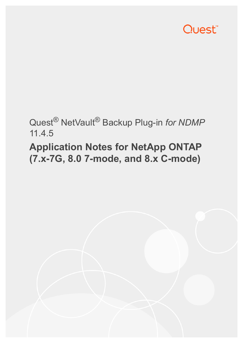

## Quest® NetVault® Backup Plug-in *for NDMP* 11.4.5

# **Application Notes for NetApp ONTAP (7.x-7G, 8.0 7-mode, and 8.x C-mode)**

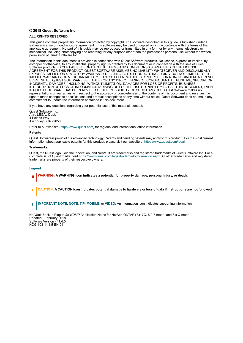### **© 2018 Quest Software Inc.**

#### **ALL RIGHTS RESERVED.**

This guide contains proprietary information protected by copyright. The software described in this guide is furnished under a software license or nondisclosure agreement. This software may be used or copied only in accordance with the terms of the applicable agreement. No part of this guide may be reproduced or transmitted in any form or by any means, electronic or mechanical, including photocopying and recording for any purpose other than the purchaser's personal use without the written permission of Quest Software Inc.

The information in this document is provided in connection with Quest Software products. No license, express or implied, by estoppel or otherwise, to any intellectual property right is granted by this document or in connection with the sale of Quest<br>Software products. EXCEPT AS SET FORTH IN THE TERMS AND CONDITIONS AS SPECIFIED IN THE LICENSE<br>A EXPRESS, IMPLIED OR STATUTORY WARRANTY RELATING TO ITS PRODUCTS INCLUDING, BUT NOT LIMITED TO, THE IMPLIED WARRANTY OF MERCHANTABILITY, FITNESS FOR A PARTICULAR PURPOSE, OR NON-INFRINGEMENT. IN NO EVENT SHALL QUEST SOFTWARE BE LIABLE FOR ANY DIRECT, INDIRECT, CONSEQUENTIAL, PUNITIVE, SPECIAL OR INCIDENTAL DAMAGES (INCLUDING, WITHOUT LIMITATION, DAMAGES FOR LOSS OF PROFITS, BUSINESS<br>INTERRUPTION OR LOSS OF INFORMATION) ARISING OUT OF THE USE OR INABILITY TO USE THIS DOCUMENT, EVEN IF QUEST SOFTWARE HAS BEEN ADVISED OF THE POSSIBILITY OF SUCH DAMAGES. Quest Software makes no representations or warranties with respect to the accuracy or completeness of the contents of this document and reserves the right to make changes to specifications and product descriptions at any time without notice. Quest Software does not make any commitment to update the information contained in this document.

If you have any questions regarding your potential use of this material, contact:

Quest Software Inc. Attn: LEGAL Dept. 4 Polaris Way Aliso Viejo, CA 92656

Refer to our website [\(https://www.quest.com](https://www.quest.com)) for regional and international office information.

#### **Patents**

Quest Software is proud of our advanced technology. Patents and pending patents may apply to this product. For the most current information about applicable patents for this product, please visit our website at [https://www.quest.com/legal.](https://www.quest.com/legal)

#### **Trademarks**

Quest, the Quest logo, Join the Innovation, and NetVault are trademarks and registered trademarks of Quest Software Inc. For a complete list of Quest marks, visit [https://www.quest.com/legal/trademark-information.aspx.](https://www.quest.com/legal/trademark-information.aspx) All other trademarks and registered trademarks are property of their respective owners.

#### **Legend**

- **WARNING: A WARNING icon indicates a potential for property damage, personal injury, or death.**
- **CAUTION: A CAUTION icon indicates potential damage to hardware or loss of data if instructions are not followed.** Ţ
- **IMPORTANT NOTE**, **NOTE**, **TIP**, **MOBILE**, or **VIDEO:** An information icon indicates supporting information.f.

NetVault Backup Plug-in *for NDMP* Application Notes for NetApp ONTAP (7.x-7G, 8.0 7-mode, and 8.x C-mode) Updated - February 2018 Software Version - 11.4.5 NCG-103-11.4.5-EN-01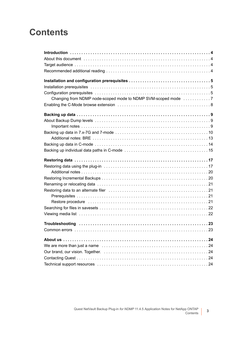## **Contents**

| Changing from NDMP node-scoped mode to NDMP SVM-scoped mode                                                    |
|----------------------------------------------------------------------------------------------------------------|
|                                                                                                                |
|                                                                                                                |
|                                                                                                                |
|                                                                                                                |
|                                                                                                                |
|                                                                                                                |
|                                                                                                                |
|                                                                                                                |
|                                                                                                                |
|                                                                                                                |
|                                                                                                                |
|                                                                                                                |
|                                                                                                                |
|                                                                                                                |
|                                                                                                                |
| Restore procedure in the contract of the contract of the contract of the contract of the contract of the contr |
|                                                                                                                |
|                                                                                                                |
|                                                                                                                |
|                                                                                                                |
|                                                                                                                |
|                                                                                                                |
|                                                                                                                |
|                                                                                                                |
|                                                                                                                |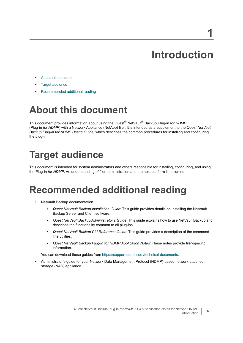# **Introduction**

**1**

- <span id="page-3-0"></span>**•** [About this document](#page-3-1)
- **•** [Target audience](#page-3-2)
- **•** [Recommended additional reading](#page-3-3)

# <span id="page-3-1"></span>**About this document**

This document provides information about using the Quest® NetVault® Backup Plug-in *for NDMP* (Plug-in *for NDMP*) with a Network Appliance (NetApp) filer. It is intended as a supplement to the *Quest NetVault Backup Plug-in for NDMP User's Guide,* which describes the common procedures for installing and configuring the plug-in.

# <span id="page-3-2"></span>**Target audience**

This document is intended for system administrators and others responsible for installing, configuring, and using the Plug-in *for NDMP*. An understanding of filer administration and the host platform is assumed.

## <span id="page-3-3"></span>**Recommended additional reading**

- **•** NetVault Backup documentation
	- **▪** *Quest NetVault Backup Installation Guide*: This guide provides details on installing the NetVault Backup Server and Client software.
	- **▪** *Quest NetVault Backup Administrator's Guide*: This guide explains how to use NetVault Backup and describes the functionality common to all plug-ins.
	- **▪** *Quest NetVault Backup CLI Reference Guide*: This guide provides a description of the commandline utilities.
	- **▪** *Quest NetVault Backup Plug-in for NDMP Application Notes:* These notes provide filer-specific information.

You can download these guides from<https://support.quest.com/technical-documents>.

**•** Administrator's guide for your Network Data Management Protocol (NDMP)-based network-attached storage (NAS) appliance

**4**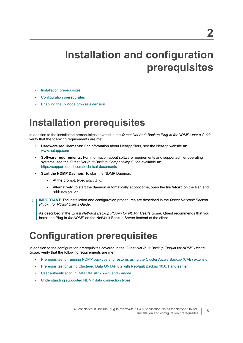# <span id="page-4-0"></span>**Installation and configuration prerequisites**

- **•** [Installation prerequisites](#page-4-1)
- **•** [Configuration prerequisites](#page-4-2)
- **•** [Enabling the C-Mode browse extension](#page-7-0)

## <span id="page-4-1"></span>**Installation prerequisites**

In addition to the installation prerequisites covered in the *Quest NetVault Backup Plug-in for NDMP User's Guide*, verify that the following requirements are met:

- **Hardware requirements:** For information about NetApp filers, see the NetApp website at: <www.netapp.com>
- **Software requirements:** For information about software requirements and supported filer operating systems, see the *Quest NetVault Backup Compatibility Guide* available at: <https://support.quest.com/technical-documents>
- **Start the NDMP Daemon:** To start the NDMP Daemon:
	- At the prompt, type: ndmpd on
	- **▪** Alternatively, to start the daemon automatically at boot time, open the file **/etc/rc** on the filer, and add: ndmpd on
- **IMPORTANT:** The installation and configuration procedures are described in the *Quest NetVault Backup*  ÷ *Plug-in for NDMP User's Guide*.

As described in the *Quest NetVault Backup Plug-in for NDMP User's Guide*, Quest recommends that you install the Plug-in *for NDMP* on the NetVault Backup Server instead of the client.

# <span id="page-4-2"></span>**Configuration prerequisites**

In addition to the configuration prerequisites covered in the *Quest NetVault Backup Plug-in for NDMP User's Guide*, verify that the following requirements are met:

- **•** [Prerequisites for running NDMP backups and restores using the Cluster Aware Backup \(CAB\) extension](#page-5-0)
- **•** [Prerequisites for using Clustered Data ONTAP 8.2 with NetVault Backup 10.0.1 and earlier](#page-5-1)
- **•** [User authentication in Data ONTAP 7.x-7G and 7-mode](#page-6-1)
- **•** [Understanding supported NDMP data connection types](#page-6-2)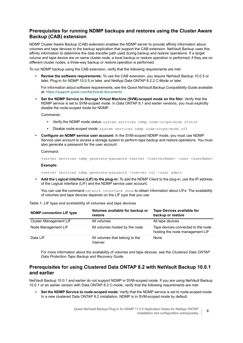### <span id="page-5-0"></span>**Prerequisites for running NDMP backups and restores using the Cluster Aware Backup (CAB) extension**

NDMP Cluster Aware Backup (CAB) extension enables the NDMP server to provide affinity information about volumes and tape devices to the backup application that support the CAB extension. NetVault Backup uses this affinity information to determine the data transfer path used during backup and restore operations. If a target volume and tape device are on same cluster node, a local backup or restore operation is performed; if they are on different cluster nodes, a three-way backup or restore operation is performed.

To run NDMP backup using the CAB extension, verify that the following requirements are met:

**• Review the software requirements:** To use the CAB extension, you require NetVault Backup 10.0.5 or later, Plug-in *for NDMP* 10.0.5 or later, and NetApp Data ONTAP 8.2.2 C-Mode or later.

For information about software requirements, see the *Quest NetVault Backup Compatibility Guide* available at:<https://support.quest.com/technical-documents>

**• Set the NDMP Service to Storage Virtual Machine (SVM)-scoped mode on the filer:** Verify that the NDMP service is set to SVM-scoped mode. In Data ONTAP 8.1 and earlier versions, you must explicitly disable the node-scoped mode for NDMP.

Commands:

- **▪** Verify the NDMP mode status: system services ndmp node-scope-mode status
- Disable node-scoped mode: system services ndmp node-scope-mode off
- **Configure an NDMP service user account:** In the SVM-scoped NDMP mode, you must use NDMP Service user account to access a storage system to perform tape backup and restore operations. You must also generate a password for the user account:

Command:

vserver services ndmp generate-password vserver *<vserverName>* -user *<userName>*

### **Example:**

vserver services ndmp generate-password -vserver vs1 -user admin

**• Add the Logical Interface (LIF) to the plug-in:** To add the NDMP Client to the plug-in, use the IP address of the Logical Interface (LIF) and the NDMP service user account.

You can use the command network interface show to obtain information about LIFs. The availability of volumes and tape devices depends on the LIF type that you use.

| <b>NDMP</b> connection LIF type | Volumes available for backup or<br>restore | <b>Tape Devices available for</b><br>backup or restore                |
|---------------------------------|--------------------------------------------|-----------------------------------------------------------------------|
| Cluster Management LIF          | All volumes                                | All tape devices                                                      |
| Node Management LIF             | All volumes hosted by the node             | Tape devices connected to the node<br>hosting the node management LIF |
| Data LIF                        | All volumes that belong to the<br>Vserver  | None                                                                  |

**Table 1. LIF type and availability of volumes and tape devices**

For more information about the availability of volumes and tape devices, see the *Clustered Data ONTAP Data Protection Tape Backup and Recovery Guide*.

### <span id="page-5-1"></span>**Prerequisites for using Clustered Data ONTAP 8.2 with NetVault Backup 10.0.1 and earlier**

NetVault Backup 10.0.1 and earlier do not support NDMP in SVM-scoped mode. If you are using NetVault Backup 10.0.1 or an earlier version with Data ONTAP 8.2 C-mode, verify that the following requirements are met:

**• Set the NDMP Service to node-scoped mode:** Verify that the NDMP service is set to node-scoped mode. In a new clustered Data ONTAP 8.2 installation, NDMP is in SVM-scoped mode by default.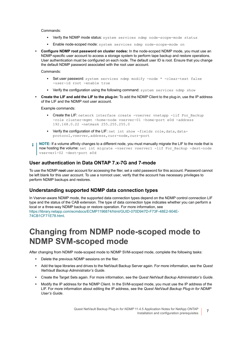Commands:

- **▪** Verify the NDMP mode status: system services ndmp node-scope-mode status
- **▪** Enable node-scoped mode: system services ndmp node-scope-mode on
- **Configure NDMP root password on cluster nodes:** In the node-scoped NDMP mode, you must use an NDMP-specific user account to access a storage system to perform tape backup and restore operations. User authentication must be configured on each node. The default user ID is root. Ensure that you change the default NDMP password associated with the root user account.

Commands:

- **▪** Set user password: system services ndmp modify -node \* -clear-text false -user-id root -enable true
- **▪** Verify the configuration using the following command: system services ndmp show
- **Create the LIF and add the LIF to the plug-in:** To add the NDMP Client to the plug-in, use the IP address of the LIF and the NDMP root user account.

Example commands:

- **•** Create the LIF: network interface create -vserver vnetapp -lif For Backup -role cluster-mgmt -home-node vserver-01 -home-port e0d -address 192.168.0.22 -netmask 255.255.255.0
- **•** Verify the configuration of the LIF: net int show -fields role, data, dataprotocol,vserver,address,curr-node,curr-port
- **NOTE:** If a volume affinity changes to a different node, you must manually migrate the LIF to the node that is f. now hosting the volume: net int migrate -vserver vserver1 -lif For Backup -dest-node vserver1-02 -dest-port e0d

### <span id="page-6-1"></span>**User authentication in Data ONTAP 7.x-7G and 7-mode**

To use the NDMP **root** user account for accessing the filer, set a valid password for this account. Password cannot be left blank for this user account. To use a nonroot user, verify that the account has necessary privileges to perform NDMP backups and restores.

### <span id="page-6-2"></span>**Understanding supported NDMP data connection types**

In Vserver-aware NDMP mode, the supported data connection types depend on the NDMP control connection LIF type and the status of the CAB extension. The type of data connection type indicates whether you can perform a local or a three-way NDMP backup or restore operation. For more information, see [https://library.netapp.com/ecmdocs/ECMP1196874/html/GUID-070D947D-F73F-48E2-904E-](https://library.netapp.com/ecmdocs/ECMP1196874/html/GUID-070D947D-F73F-48E2-904E-74CB1CF71E78.html)[74CB1CF71E78.html.](https://library.netapp.com/ecmdocs/ECMP1196874/html/GUID-070D947D-F73F-48E2-904E-74CB1CF71E78.html)

### <span id="page-6-0"></span>**Changing from NDMP node-scoped mode to NDMP SVM-scoped mode**

After changing from NDMP node-scoped mode to NDMP SVM-scoped mode, complete the following tasks:

- **•** Delete the previous NDMP sessions on the filer.
- **•** Add the tape libraries and drives to the NetVault Backup Server again. For more information, see the *Quest NetVault Backup Administrator's Guide*.
- **•** Create the Target Sets again. For more information, see the *Quest NetVault Backup Administrator's Guide*.
- **•** Modify the IP address for the NDMP Client. In the SVM-scoped mode, you must use the IP address of the LIF. For more information about editing the IP address, see the *Quest NetVault Backup Plug-in for NDMP User's Guide*.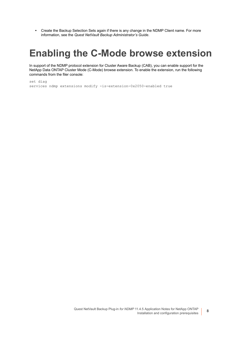**•** Create the Backup Selection Sets again if there is any change in the NDMP Client name. For more information, see the *Quest NetVault Backup Administrator's Guide*.

## <span id="page-7-0"></span>**Enabling the C-Mode browse extension**

In support of the NDMP protocol extension for Cluster Aware Backup (CAB), you can enable support for the NetApp Data ONTAP Cluster Mode (C-Mode) browse extension. To enable the extension, run the following commands from the filer console:

```
set diag
services ndmp extensions modify -is-extension-0x2050-enabled true
```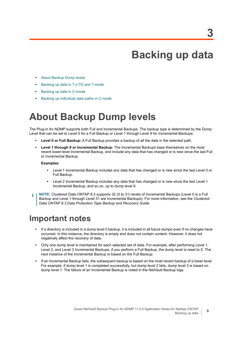**9**

## **Backing up data**

- <span id="page-8-0"></span>**•** [About Backup Dump levels](#page-8-1)
- **•** [Backing up data in 7.x-7G and 7-mode](#page-9-0)
- **•** [Backing up data in C-mode](#page-13-0)
- **•** [Backing up individual data paths in C-mode](#page-14-0)

## <span id="page-8-1"></span>**About Backup Dump levels**

The Plug-in *for NDMP* supports both Full and Incremental Backups. The backup type is determined by the Dump Level that can be set to Level 0 for a Full Backup or Level 1 through Level 9 for Incremental Backups:

- **Level 0 or Full Backup:** A Full Backup provides a backup of all the data in the selected path.
- **Level 1 through 9 or Incremental Backup:** The Incremental Backups base themselves on the most recent lower-level Incremental Backup, and include any data that has changed or is new since the last Full or Incremental Backup.

### **Examples:**

- Level 1 Incremental Backup includes any data that has changed or is new since the last Level 0 or Full Backup.
- **▪** Level 2 Incremental Backup includes any data that has changed or is new since the last Level 1 Incremental Backup, and so on, up to dump level 9.
- **NOTE:** Clustered Data ONTAP 8.3 supports 32 (0 to 31) levels of Incremental Backups (Level 0 is a Full ÷ Backup and Level 1 through Level 31 are Incremental Backups). For more information, see the *Clustered Data ONTAP 8.3 Data Protection Tape Backup and Recovery Guide*.

### <span id="page-8-2"></span>**Important notes**

- **•** If a directory is included in a dump level 0 backup, it is included in all future dumps even if no changes have occurred. In this instance, the directory is empty and does not contain content. However, it does not negatively affect the recovery of data.
- **•** Only one dump level is maintained for each selected set of data. For example, after performing Level 1, Level 2, and Level 3 Incremental Backups, if you perform a Full Backup, the dump level is reset to 0. The next instance of the Incremental Backup is based on the Full Backup.
- **•** If an Incremental Backup fails, the subsequent backup is based on the most recent backup of a lower level. For example, if dump level 1 is completed successfully, but dump level 2 fails, dump level 3 is based on dump level 1. The failure of an Incremental Backup is noted in the NetVault Backup logs.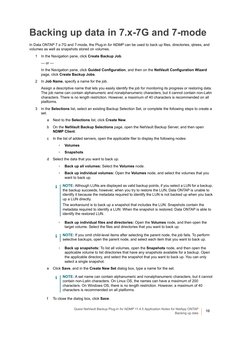# <span id="page-9-0"></span>**Backing up data in 7.x-7G and 7-mode**

In Data ONTAP 7.x-7G and 7-mode, the Plug-in *for NDMP* can be used to back up files, directories, qtrees, and volumes as well as snapshots stored on volumes.

1 In the Navigation pane, click **Create Backup Job**.

 $-$  or  $-$ 

In the Navigation pane, click **Guided Configuration**, and then on the **NetVault Configuration Wizard** page, click **Create Backup Jobs**.

2 In **Job Name**, specify a name for the job.

Assign a descriptive name that lets you easily identify the job for monitoring its progress or restoring data. The job name can contain alphanumeric and nonalphanumeric characters, but it cannot contain non-Latin characters. There is no length restriction. However, a maximum of 40 characters is recommended on all platforms.

- 3 In the **Selections** list, select an existing Backup Selection Set, or complete the following steps to create a set.
	- a Next to the **Selections** list, click **Create New**.
	- b On the **NetVault Backup Selections** page, open the NetVault Backup Server, and then open **NDMP Client**.
	- c In the list of added servers, open the applicable filer to display the following nodes:
		- **▫ Volumes**
		- **▫ Snapshots**
	- d Select the data that you want to back up.
		- **▫ Back up all volumes:** Select the **Volumes** node.
		- **▫ Back up individual volumes:** Open the **Volumes** node, and select the volumes that you want to back up.
		- **NOTE:** Although LUNs are displayed as valid backup points, if you select a LUN for a backup, the backup succeeds; however, when you try to restore the LUN, Data ONTAP is unable to identify it because the metadata required to identify the LUN is not backed up when you back up a LUN directly.

The workaround is to back up a snapshot that includes the LUN. Snapshots contain the metadata required to identify a LUN. When the snapshot is restored, Data ONTAP is able to identify the restored LUN.

- **▫ Back up individual files and directories:** Open the **Volumes** node, and then open the target volume. Select the files and directories that you want to back up.
- **NOTE:** If you omit child-level items after selecting the parent node, the job fails. To perform ÷ selective backups, open the parent node, and select each item that you want to back up.
	- **▫ Back up snapshots:** To list all volumes, open the **Snapshots** node, and then open the applicable volume to list directories that have any snapshots available for a backup. Open the applicable directory, and select the snapshot that you want to back up. You can only select a single snapshot.
- e Click **Save**, and in the **Create New Set** dialog box, type a name for the set.
	- **NOTE:** A set name can contain alphanumeric and nonalphanumeric characters, but it cannot ÷ contain non-Latin characters. On Linux OS, the names can have a maximum of 200 characters. On Windows OS, there is no length restriction. However, a maximum of 40 characters is recommended on all platforms.
- f To close the dialog box, click **Save**.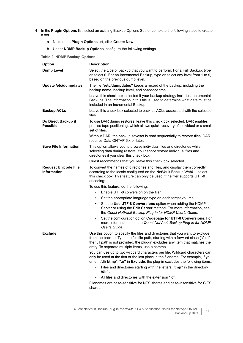- 4 In the **Plugin Options** list, select an existing Backup Options Set, or complete the following steps to create a set.
	- a Next to the **Plugin Options** list, click **Create New**.
	- b Under **NDMP Backup Options**, configure the following settings.

<span id="page-10-0"></span>**Table 2. NDMP Backup Options**

| Option                                     | <b>Description</b>                                                                                                                                                                                                                                                                                     |
|--------------------------------------------|--------------------------------------------------------------------------------------------------------------------------------------------------------------------------------------------------------------------------------------------------------------------------------------------------------|
| <b>Dump Level</b>                          | Select the type of backup that you want to perform. For a Full Backup, type<br>or select 0. For an Incremental Backup, type or select any level from 1 to 9,<br>based on the previous dump level.                                                                                                      |
| Update /etc/dumpdates                      | The file "/etc/dumpdates" keeps a record of the backup, including the<br>backup name, backup level, and snapshot time.                                                                                                                                                                                 |
|                                            | Leave this check box selected if your backup strategy includes Incremental<br>Backups. The information in this file is used to determine what data must be<br>included in an Incremental Backup.                                                                                                       |
| <b>Backup ACLs</b>                         | Leave this check box selected to back up ACLs associated with the selected<br>files.                                                                                                                                                                                                                   |
| Do Direct Backup if<br><b>Possible</b>     | To use DAR during restores, leave this check box selected. DAR enables<br>precise tape positioning, which allows quick recovery of individual or a small<br>set of files.                                                                                                                              |
|                                            | Without DAR, the backup saveset is read sequentially to restore files. DAR<br>requires Data ONTAP 6.x or later.                                                                                                                                                                                        |
| <b>Save File Information</b>               | This option allows you to browse individual files and directories while<br>selecting data during restore. You cannot restore individual files and<br>directories if you clear this check box.                                                                                                          |
|                                            | Quest recommends that you leave this check box selected.                                                                                                                                                                                                                                               |
| <b>Request Unicode File</b><br>Information | To convert the names of directories and files, and display them correctly<br>according to the locale configured on the NetVault Backup WebUI, select<br>this check box. This feature can only be used if the filer supports UTF-8<br>encoding:                                                         |
|                                            | To use this feature, do the following:                                                                                                                                                                                                                                                                 |
|                                            | Enable UTF-8 conversion on the filer.<br>$\bullet$                                                                                                                                                                                                                                                     |
|                                            | Set the appropriate language type on each target volume.<br>$\bullet$                                                                                                                                                                                                                                  |
|                                            | Set the Use UTF-8 Conversions option when adding the NDMP<br>$\bullet$<br>Server or using the Edit Server method. For more information, see<br>the Quest NetVault Backup Plug-in for NDMP User's Guide.                                                                                                |
|                                            | Set the configuration option Codepage for UTF-8 Conversions. For<br>$\bullet$<br>more information, see the Quest NetVault Backup Plug-in for NDMP<br>User's Guide.                                                                                                                                     |
| <b>Exclude</b>                             | Use this option to specify the files and directories that you want to exclude<br>from the backup. Type the full file path, starting with a forward slash ("/"). If<br>the full path is not provided, the plug-in excludes any item that matches the<br>entry. To separate multiple items, use a comma. |
|                                            | You can use up to two wildcard characters per file. Wildcard characters can<br>only be used at the first or the last place in the filename. For example, if you<br>enter "/dir1/tmp*, *.o" in Exclude, the plug-in excludes the following items:                                                       |
|                                            | Files and directories starting with the letters "tmp" in the directory<br>$\bullet$<br>/dir1.                                                                                                                                                                                                          |
|                                            | All files and directories with the extension ".o".<br>۰                                                                                                                                                                                                                                                |
|                                            | Filenames are case-sensitive for NFS shares and case-insensitive for CIFS<br>shares.                                                                                                                                                                                                                   |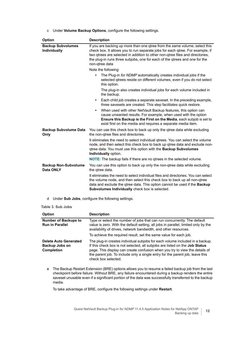c Under **Volume Backup Options**, configure the following settings.

| <b>Option</b>                            | <b>Description</b>                                                                                                                                                                                                                                                                                                                            |
|------------------------------------------|-----------------------------------------------------------------------------------------------------------------------------------------------------------------------------------------------------------------------------------------------------------------------------------------------------------------------------------------------|
| <b>Backup Subvolumes</b><br>Individually | If you are backing up more than one gtree from the same volume, select this<br>check box. It allows you to run separate jobs for each qtree. For example, if<br>two qtrees are selected in addition to other non-qtree files and directories,<br>the plug-in runs three subjobs, one for each of the gtrees and one for the<br>non-gtree data |
|                                          | Note the following:                                                                                                                                                                                                                                                                                                                           |
|                                          | The Plug-in for NDMP automatically creates individual jobs if the<br>۰<br>selected gtrees reside on different volumes, even if you do not select<br>this option.                                                                                                                                                                              |
|                                          | The plug-in also creates individual jobs for each volume included in<br>the backup.                                                                                                                                                                                                                                                           |
|                                          | Each child job creates a separate saveset. In the preceding example,<br>$\bullet$<br>three savesets are created. This step facilitates quick restore.                                                                                                                                                                                         |
|                                          | When used with other NetVault Backup features, this option can<br>$\bullet$<br>cause unwanted results. For example, when used with the option<br>Ensure this Backup is the First on the Media, each subjob is set to<br>exist first on the media and requires a separate media item.                                                          |
| <b>Backup Subvolume Data</b><br>Only     | You can use this check box to back up only the gtree data while excluding<br>the non-gtree files and directories.                                                                                                                                                                                                                             |
|                                          | It eliminates the need to select individual gtrees. You can select the volume<br>node, and then select this check box to back up qtree data and exclude non-<br>gtree data. You must use this option with the <b>Backup Subvolumes</b><br>Individually option.                                                                                |
|                                          | <b>NOTE:</b> The backup fails if there are no gtrees in the selected volume.                                                                                                                                                                                                                                                                  |
| <b>Backup Non-Subvolume</b><br>Data ONLY | You can use this option to back up only the non-gtree data while excluding<br>the gtree data.                                                                                                                                                                                                                                                 |
|                                          | It eliminates the need to select individual files and directories. You can select<br>the volume node, and then select this check box to back up all non-qtree<br>data and exclude the gtree data. This option cannot be used if the Backup<br>Subvolumes Individually check box is selected.                                                  |

d Under **Sub Jobs**, configure the following settings.

<span id="page-11-0"></span>**Table 3. Sub Jobs**

| <b>Option</b>                                                       | <b>Description</b>                                                                                                                                                                                                                                                                                                                                        |
|---------------------------------------------------------------------|-----------------------------------------------------------------------------------------------------------------------------------------------------------------------------------------------------------------------------------------------------------------------------------------------------------------------------------------------------------|
| <b>Number of Backups to</b><br><b>Run in Parallel</b>               | Type or select the number of jobs that can run concurrently. The default<br>value is zero. With the default setting, all jobs in parallel, limited only by the<br>availability of drives, network bandwidth, and other resources.                                                                                                                         |
|                                                                     | To achieve the required result, set the same value for each job.                                                                                                                                                                                                                                                                                          |
| <b>Delete Auto Generated</b><br>Backup Jobs on<br><b>Completion</b> | The plug-in creates individual subjobs for each volume included in a backup.<br>If this check box is not selected, all subjobs are listed on the <b>Job Status</b><br>page. This display can create confusion when you try to view the details of<br>the parent job. To include only a single entry for the parent job, leave this<br>check box selected. |

e The Backup Restart Extension (BRE) options allows you to resume a failed backup job from the last checkpoint before failure. Without BRE, any failure encountered during a backup renders the entire saveset unusable even if a significant portion of the data was successfully transferred to the backup media.

To take advantage of BRE, configure the following settings under **Restart**.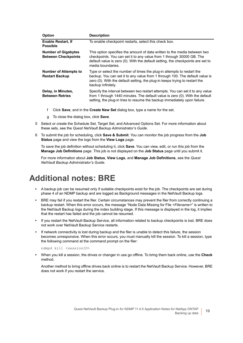| <b>Option</b>                                            | <b>Description</b>                                                                                                                                                                                                                                          |
|----------------------------------------------------------|-------------------------------------------------------------------------------------------------------------------------------------------------------------------------------------------------------------------------------------------------------------|
| <b>Enable Restart, If</b><br><b>Possible</b>             | To enable checkpoint restarts, select this check box.                                                                                                                                                                                                       |
| <b>Number of Gigabytes</b><br><b>Between Checkpoints</b> | This option specifies the amount of data written to the media between two<br>checkpoints. You can set it to any value from 1 through 30000 GB. The<br>default value is zero (0). With the default setting, the checkpoints are set to<br>media boundaries.  |
| <b>Number of Attempts to</b><br><b>Restart Backup</b>    | Type or select the number of times the plug-in attempts to restart the<br>backup. You can set it to any value from 1 through 100. The default value is<br>zero (0). With the default setting, the plug-in keeps trying to restart the<br>backup infinitely. |
| Delay, in Minutes,<br><b>Between Retries</b>             | Specify the interval between two restart attempts. You can set it to any value<br>from 1 through 1440 minutes. The default value is zero (0). With the default<br>setting, the plug-in tries to resume the backup immediately upon failure.                 |

- f Click **Save**, and in the **Create New Set** dialog box, type a name for the set.
- g To close the dialog box, click **Save**.
- 5 Select or create the Schedule Set, Target Set, and Advanced Options Set. For more information about these sets, see the *Quest NetVault Backup Administrator's Guide*.
- 6 To submit the job for scheduling, click **Save & Submit**. You can monitor the job progress from the **Job Status** page and view the logs from the **View Logs** page.

To save the job definition without scheduling it, click **Save**. You can view, edit, or run this job from the **Manage Job Definitions** page. This job is not displayed on the **Job Status** page until you submit it.

For more information about **Job Status**, **View Logs**, and **Manage Job Definitions**, see the *Quest NetVault Backup Administrator's Guide*.

### <span id="page-12-0"></span>**Additional notes: BRE**

- **•** A backup job can be resumed only if suitable checkpoints exist for the job. The checkpoints are set during phase 4 of an NDMP backup and are logged as Background messages in the NetVault Backup logs.
- **•** BRE may fail if you restart the filer. Certain circumstances may prevent the filer from correctly continuing a backup restart. When this error occurs, the message "Node Data Missing for File *<Filename>*" is written to the NetVault Backup logs during the index building stage. If this message is displayed in the log, it implies that the restart has failed and the job cannot be resumed.
- **•** If you restart the NetVault Backup Service, all information related to backup checkpoints is lost. BRE does not work over NetVault Backup Service restarts.
- **•** If network connectivity is lost during backup and the filer is unable to detect this failure, the session becomes unresponsive. When this error occurs, you must manually kill the session. To kill a session, type the following command at the command prompt on the filer:

ndmpd kill *<sessionID>*

**•** When you kill a session, the drives or changer in use go offline. To bring them back online, use the **Check**  method.

Another method to bring offline drives back online is to restart the NetVault Backup Service. However, BRE does not work if you restart the service.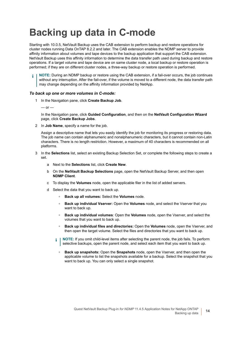## <span id="page-13-0"></span>**Backing up data in C-mode**

Starting with 10.0.5, NetVault Backup uses the CAB extension to perform backup and restore operations for cluster nodes running Data OnTAP 8.2.2 and later. The CAB extension enables the NDMP server to provide affinity information about volumes and tape devices to the backup application that support the CAB extension. NetVault Backup uses this affinity information to determine the data transfer path used during backup and restore operations. If a target volume and tape device are on same cluster node, a local backup or restore operation is performed; if they are on different cluster nodes, a three-way backup or restore operation is performed.

**NOTE:** During an NDMP backup or restore using the CAB extension, if a fail-over occurs, the job continues ÷ without any interruption. After the fail-over, if the volume is moved to a different node, the data transfer path may change depending on the affinity information provided by NetApp.

### *To back up one or more volumes in C-mode:*

1 In the Navigation pane, click **Create Backup Job**.

 $-$  or  $-$ 

In the Navigation pane, click **Guided Configuration**, and then on the **NetVault Configuration Wizard** page, click **Create Backup Jobs**.

2 In **Job Name**, specify a name for the job.

Assign a descriptive name that lets you easily identify the job for monitoring its progress or restoring data. The job name can contain alphanumeric and nonalphanumeric characters, but it cannot contain non-Latin characters. There is no length restriction. However, a maximum of 40 characters is recommended on all platforms.

- In the **Selections** list, select an existing Backup Selection Set, or complete the following steps to create a set.
	- a Next to the **Selections** list, click **Create New**.
	- b On the **NetVault Backup Selections** page, open the NetVault Backup Server, and then open **NDMP Client**.
	- c To display the **Volumes** node, open the applicable filer in the list of added servers.
	- d Select the data that you want to back up.
		- **▫ Back up all volumes:** Select the **Volumes** node.
		- **▫ Back up individual Vserver:** Open the **Volumes** node, and select the Vserver that you want to back up.
		- **▫ Back up individual volumes**: Open the **Volumes** node, open the Vserver, and select the volumes that you want to back up.
		- **▫ Back up individual files and directories:** Open the **Volumes** node, open the Vserver, and then open the target volume. Select the files and directories that you want to back up.
		- **NOTE:** If you omit child-level items after selecting the parent node, the job fails. To perform selective backups, open the parent node, and select each item that you want to back up.
			- **▫ Back up snapshots:** Open the **Snapshots** node, open the Vserver, and then open the applicable volume to list the snapshots available for a backup. Select the snapshot that you want to back up. You can only select a single snapshot.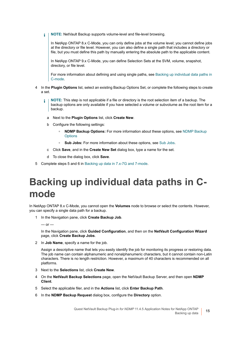**NOTE:** NetVault Backup supports volume-level and file-level browsing. ÷.

In NetApp ONTAP 8.x C-Mode, you can only define jobs at the volume level; you cannot define jobs at the directory or file level. However, you can also define a single path that includes a directory or file, but you must define this path by manually entering the absolute path to the applicable content.

In NetApp ONTAP 9.x C-Mode, you can define Selection Sets at the SVM, volume, snapshot, directory, or file level.

For more information about defining and using single paths, see [Backing up individual data paths in](#page-14-0)  [C-mode.](#page-14-0)

- 4 In the **Plugin Options** list, select an existing Backup Options Set, or complete the following steps to create a set.
	- **NOTE:** This step is not applicable if a file or directory is the root selection item of a backup. The ÷ backup options are only available if you have selected a volume or subvolume as the root item for a backup.
		- a Next to the **Plugin Options** list, click **Create New**.
		- b Configure the following settings:
			- **▫ NDMP Backup Options:** For more information about these options, see [NDMP Backup](#page-10-0)  **[Options](#page-10-0)**
			- **▫ Sub Jobs:** For more information about these options, see [Sub Jobs](#page-11-0).
		- c Click **Save**, and in the **Create New Set** dialog box, type a name for the set.
		- d To close the dialog box, click **Save**.
- 5 Complete steps 5 and 6 in [Backing up data in 7.x-7G and 7-mode.](#page-9-0)

## <span id="page-14-0"></span>**Backing up individual data paths in Cmode**

In NetApp ONTAP 8.x C-Mode, you cannot open the **Volumes** node to browse or select the contents. However, you can specify a single data path for a backup.

1 In the Navigation pane, click **Create Backup Job**.

 $-$  or  $-$ 

In the Navigation pane, click **Guided Configuration**, and then on the **NetVault Configuration Wizard** page, click **Create Backup Jobs**.

2 In **Job Name**, specify a name for the job.

Assign a descriptive name that lets you easily identify the job for monitoring its progress or restoring data. The job name can contain alphanumeric and nonalphanumeric characters, but it cannot contain non-Latin characters. There is no length restriction. However, a maximum of 40 characters is recommended on all platforms.

- 3 Next to the **Selections** list, click **Create New**.
- 4 On the **NetVault Backup Selections** page, open the NetVault Backup Server, and then open **NDMP Client**.
- 5 Select the applicable filer, and in the **Actions** list, click **Enter Backup Path**.
- 6 In the **NDMP Backup Request** dialog box, configure the **Directory** option.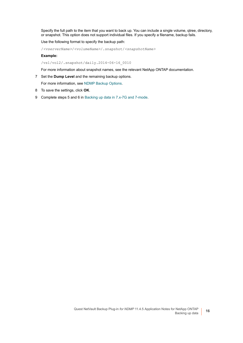Specify the full path to the item that you want to back up. You can include a single volume, qtree, directory, or snapshot. This option does not support individual files. If you specify a filename, backup fails.

Use the following format to specify the backup path:

/*<vserverName>*/*<volumeName>*/.snapshot/*<snapshotName>*

**Example:**

/vs1/vol2/.snapshot/daily.2014-06-16\_0010

For more information about snapshot names, see the relevant NetApp ONTAP documentation.

7 Set the **Dump Level** and the remaining backup options.

For more information, see [NDMP Backup Options](#page-10-0).

- 8 To save the settings, click **OK**.
- 9 Complete steps 5 and 6 in [Backing up data in 7.x-7G and 7-mode.](#page-9-0)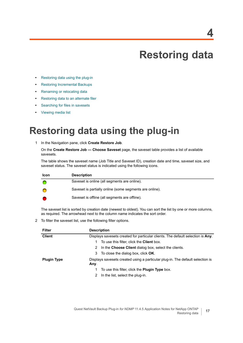# **Restoring data**

- <span id="page-16-0"></span>**•** [Restoring data using the plug-in](#page-16-1)
- **•** [Restoring Incremental Backups](#page-19-1)
- **•** [Renaming or relocating data](#page-20-0)
- **•** [Restoring data to an alternate filer](#page-20-1)
- **•** [Searching for files in savesets](#page-21-0)
- **•** [Viewing media list](#page-21-1)

## <span id="page-16-1"></span>**Restoring data using the plug-in**

<span id="page-16-2"></span>1 In the Navigation pane, click **Create Restore Job**.

On the **Create Restore Job — Choose Saveset** page, the saveset table provides a list of available savesets.

The table shows the saveset name (Job Title and Saveset ID), creation date and time, saveset size, and saveset status. The saveset status is indicated using the following icons.

| <b>Icon</b> | <b>Description</b>                                      |
|-------------|---------------------------------------------------------|
|             | Saveset is online (all segments are online).            |
|             | Saveset is partially online (some segments are online). |
|             | Saveset is offline (all segments are offline).          |

The saveset list is sorted by creation date (newest to oldest). You can sort the list by one or more columns, as required. The arrowhead next to the column name indicates the sort order.

2 To filter the saveset list, use the following filter options.

| <b>Filter</b>                                                                                        | <b>Description</b>                                                              |  |
|------------------------------------------------------------------------------------------------------|---------------------------------------------------------------------------------|--|
| <b>Client</b>                                                                                        | Displays savesets created for particular clients. The default selection is Any. |  |
|                                                                                                      | To use this filter, click the <b>Client</b> box.<br>1.                          |  |
|                                                                                                      | 2 In the Choose Client dialog box, select the clients.                          |  |
|                                                                                                      | 3 To close the dialog box, click <b>OK</b> .                                    |  |
| Displays savesets created using a particular plug-in. The default selection is<br><b>Plugin Type</b> |                                                                                 |  |
|                                                                                                      | Any.                                                                            |  |
|                                                                                                      | To use this filter, click the <b>Plugin Type</b> box.<br>1.                     |  |
|                                                                                                      | 2 In the list, select the plug-in.                                              |  |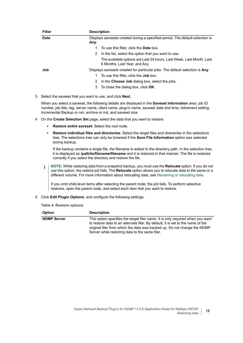| <b>Filter</b> | <b>Description</b>                                                                                    |  |
|---------------|-------------------------------------------------------------------------------------------------------|--|
| <b>Date</b>   | Displays savesets created during a specified period. The default selection is                         |  |
|               | Any.                                                                                                  |  |
|               | To use this filter, click the <b>Date</b> box.                                                        |  |
|               | In the list, select the option that you want to use.<br>2                                             |  |
|               | The available options are Last 24 hours, Last Week, Last Month, Last<br>6 Months, Last Year, and Any. |  |
| Job           | Displays savesets created for particular jobs. The default selection is Any.                          |  |
|               | To use this filter, click the <b>Job</b> box.                                                         |  |
|               | In the Choose Job dialog box, select the jobs.<br>2                                                   |  |
|               | To close the dialog box, click <b>OK</b> .<br>3                                                       |  |

3 Select the saveset that you want to use, and click **Next**.

When you select a saveset, the following details are displayed in the **Saveset Information** area: job ID number, job title, tag, server name, client name, plug-in name, saveset date and time, retirement setting, Incremental Backup or not, archive or not, and saveset size.

- <span id="page-17-0"></span>4 On the **Create Selection Set** page, select the data that you want to restore:
	- **▪ Restore entire saveset:** Select the root node.
	- **Restore individual files and directories**: Select the target files and directories in the selections tree. The selections tree can only be browsed if the **Save File Information** option was selected during backup.

If the backup contains a single file, the filename is added to the directory path. In the selection tree, it is displayed as **/path/to/filename/filename** and it is restored in that manner. The file is restored correctly if you select the directory and restore the file.

**NOTE:** While restoring data from a snapshot backup, you must use the **Relocate** option. If you do not  $\mathbf{i}$ use this option, the restore job fails. The **Relocate** option allows you to relocate data to the same or a different volume. For more information about relocating data, see [Renaming or relocating data](#page-20-0).

If you omit child-level items after selecting the parent node, the job fails. To perform selective restores, open the parent node, and select each item that you want to restore.

<span id="page-17-2"></span><span id="page-17-1"></span>5 Click **Edit Plugin Options**, and configure the following settings.

|  | Table 4. Restore options |
|--|--------------------------|
|  |                          |

| <b>Option</b>      | <b>Description</b>                                                                                                                                                                                                                                                                              |
|--------------------|-------------------------------------------------------------------------------------------------------------------------------------------------------------------------------------------------------------------------------------------------------------------------------------------------|
| <b>NDMP Server</b> | This option specifies the target filer name. It is only required when you want<br>to restore data to an alternate filer. By default, it is set to the name of the<br>original filer from which the data was backed up. Do not change the NDMP<br>Server while restoring data to the same filer. |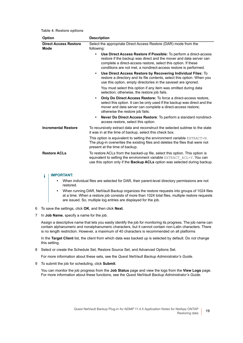**Table 4. Restore options**

| <b>Option</b>                        | <b>Description</b>                                                                                                                                                                                                                                                                         |
|--------------------------------------|--------------------------------------------------------------------------------------------------------------------------------------------------------------------------------------------------------------------------------------------------------------------------------------------|
| <b>Direct Access Restore</b><br>Mode | Select the appropriate Direct Access Restore (DAR) mode from the<br>following:                                                                                                                                                                                                             |
|                                      | Use Direct Access Restore if Possible: To perform a direct-access<br>$\bullet$<br>restore if the backup was direct and the mover and data server can<br>complete a direct-access restore, select this option. If these<br>conditions are not met, a nondirect-access restore is performed. |
|                                      | Use Direct Access Restore by Recovering Individual Files: To<br>$\bullet$<br>restore a directory and its file contents, select this option. When you<br>use this option, empty directories in the saveset are ignored.                                                                     |
|                                      | You must select this option if any item was omitted during data<br>selection; otherwise, the restore job fails.                                                                                                                                                                            |
|                                      | <b>Only Do Direct Access Restore:</b> To force a direct-access restore,<br>$\bullet$<br>select this option. It can be only used if the backup was direct and the<br>mover and data server can complete a direct-access restore;<br>otherwise the restore job fails.                        |
|                                      | Never Do Direct Access Restore: To perform a standard nondirect-<br>$\bullet$<br>access restore, select this option.                                                                                                                                                                       |
| <b>Incremental Restore</b>           | To recursively extract data and reconstruct the selected subtree to the state<br>it was in at the time of backup, select this check box.                                                                                                                                                   |
|                                      | This option is equivalent to setting the environment variable $\text{EXTRACT=N}$ .<br>The plug-in overwrites the existing files and deletes the files that were not<br>present at the time of backup.                                                                                      |
| <b>Restore ACLs</b>                  | To restore ACLs from the backed-up file, select this option. This option is<br>equivalent to setting the environment variable EXTRACT ACL=Y. You can<br>use this option only if the Backup ACLs option was selected during backup.                                                         |

#### **IMPORTANT:**  f

- **•** When individual files are selected for DAR, their parent-level directory permissions are not restored.
- **•** When running DAR, NetVault Backup organizes the restore requests into groups of 1024 files at a time. When a restore job consists of more than 1024 total files, multiple restore requests are issued. So, multiple log entries are displayed for the job.
- <span id="page-18-1"></span>6 To save the settings, click **OK**, and then click **Next**.
- 7 In **Job Name**, specify a name for the job.

Assign a descriptive name that lets you easily identify the job for monitoring its progress. The job name can contain alphanumeric and nonalphanumeric characters, but it cannot contain non-Latin characters. There is no length restriction. However, a maximum of 40 characters is recommended on all platforms

In the **Target Client** list, the client from which data was backed up is selected by default. Do *not* change this setting.

8 Select or create the Schedule Set, Restore Source Set, and Advanced Options Set.

For more information about these sets, see the *Quest NetVault Backup Administrator's Guide*.

<span id="page-18-0"></span>9 To submit the job for scheduling, click **Submit**.

You can monitor the job progress from the **Job Status** page and view the logs from the **View Logs** page. For more information about these functions, see the *Quest NetVault Backup Administrator's Guide*.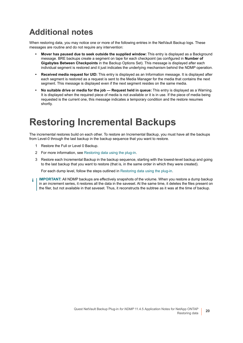## <span id="page-19-0"></span>**Additional notes**

When restoring data, you may notice one or more of the following entries in the NetVault Backup logs. These messages are routine and do not require any intervention:

- **Mover has paused due to seek outside the supplied window:** This entry is displayed as a Background message. BRE backups create a segment on tape for each checkpoint (as configured in **Number of Gigabytes Between Checkpoints** in the Backup Options Set). This message is displayed after each individual segment is restored and it just indicates the underlying mechanism behind the NDMP operation.
- **Received media request for UID:** This entry is displayed as an Information message. It is displayed after each segment is restored as a request is sent to the Media Manager for the media that contains the next segment. This message is displayed even if the next segment resides on the same media.
- **No suitable drive or media for the job Request held in queue:** This entry is displayed as a Warning. It is displayed when the required piece of media is not available or it is in use. If the piece of media being requested is the current one, this message indicates a temporary condition and the restore resumes shortly.

## <span id="page-19-1"></span>**Restoring Incremental Backups**

The incremental restores build on each other. To restore an Incremental Backup, you must have all the backups from Level-0 through the last backup in the backup sequence that you want to restore.

- 1 Restore the Full or Level 0 Backup.
- 2 For more information, see [Restoring data using the plug-in](#page-16-1).
- 3 Restore each Incremental Backup in the backup sequence, starting with the lowest-level backup and going to the last backup that you want to restore (that is, in the same order in which they were created).

For each dump level, follow the steps outlined in [Restoring data using the plug-in.](#page-16-1)

**IMPORTANT:** All NDMP backups are effectively snapshots of the volume. When you restore a dump backup  $\mathbf{i}$ in an increment series, it restores all the data in the saveset. At the same time, it deletes the files present on the filer, but not available in that saveset. Thus, it reconstructs the subtree as it was at the time of backup.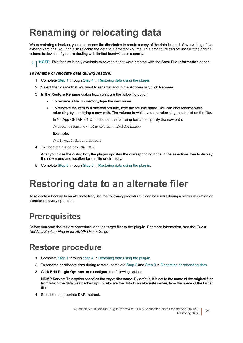# <span id="page-20-0"></span>**Renaming or relocating data**

When restoring a backup, you can rename the directories to create a copy of the data instead of overwriting of the existing versions. You can also relocate the data to a different volume. This procedure can be useful if the original volume is down or if you are dealing with limited bandwidth or capacity.

**i** | NOTE: This feature is only available to savesets that were created with the **Save File Information** option.

### *To rename or relocate data during restore:*

- 1 Complete [Step 1](#page-16-2) through [Step 4](#page-17-0) in [Restoring data using the plug-in](#page-16-1)
- <span id="page-20-4"></span>2 Select the volume that you want to rename, and in the **Actions** list, click **Rename**.
- <span id="page-20-5"></span>3 In the **Restore Rename** dialog box, configure the following option:
	- **▪** To rename a file or directory, type the new name.
	- **▪** To relocate the item to a different volume, type the volume name. You can also rename while relocating by specifying a new path. The volume to which you are relocating must exist on the filer.

In NetApp ONTAP 8.1 C-mode, use the following format to specify the new path:

/*<vserverName>*/*<volumeName>*/*<folderName>*

### **Example:**

/vs1/vol4/data/restore

4 To close the dialog box, click **OK**.

After you close the dialog box, the plug-in updates the corresponding node in the selections tree to display the new name and location for the file or directory.

5 Complete [Step 5](#page-17-1) through [Step 9](#page-18-0) in [Restoring data using the plug-in](#page-16-1).

## <span id="page-20-1"></span>**Restoring data to an alternate filer**

To relocate a backup to an alternate filer, use the following procedure. It can be useful during a server migration or disaster recovery operation.

### <span id="page-20-2"></span>**Prerequisites**

Before you start the restore procedure, add the target filer to the plug-in. For more information, see the *Quest NetVault Backup Plug-in for NDMP User's Guide*.

### <span id="page-20-3"></span>**Restore procedure**

- 1 Complete [Step 1](#page-16-2) through [Step 4](#page-17-0) in [Restoring data using the plug-in](#page-16-1).
- 2 To rename or relocate data during restore, complete [Step 2](#page-20-4) and [Step 3](#page-20-5) in [Renaming or relocating data.](#page-20-0)
- 3 Click **Edit Plugin Options**, and configure the following option:

**NDMP Server:** This option specifies the target filer name. By default, it is set to the name of the original filer from which the data was backed up. To relocate the data to an alternate server, type the name of the target filer.

4 Select the appropriate DAR method.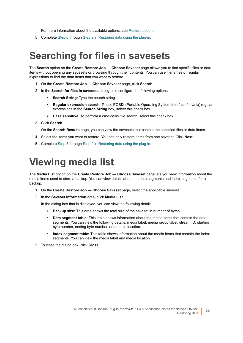For more information about the available options, see [Restore options](#page-17-2).

5 Complete [Step 6](#page-18-1) through [Step 9](#page-18-0) in [Restoring data using the plug-in](#page-16-1).

## <span id="page-21-0"></span>**Searching for files in savesets**

The **Search** option on the **Create Restore Job — Choose Saveset** page allows you to find specific files or data items without opening any savesets or browsing through their contents. You can use filenames or regular expressions to find the data items that you want to restore.

- 1 On the **Create Restore Job Choose Saveset** page, click **Search**.
- 2 In the **Search for files in savesets** dialog box, configure the following options:
	- **Search String:** Type the search string.
	- **▪ Regular expression search:** To use POSIX (Portable Operating System Interface for Unix) regular expressions in the **Search String** box, select this check box.
	- **▪ Case sensitive:** To perform a case-sensitive search, select this check box.
- 3 Click **Search**.

On the **Search Results** page, you can view the savesets that contain the specified files or data items.

- 4 Select the items you want to restore. You can only restore items from one saveset. Click **Next**.
- 5 Complete [Step 5](#page-17-1) through [Step 9](#page-18-0) in [Restoring data using the plug-in](#page-16-1).

## <span id="page-21-1"></span>**Viewing media list**

The **Media List** option on the **Create Restore Job — Choose Saveset** page lets you view information about the media items used to store a backup. You can view details about the data segments and index segments for a backup.

- 1 On the **Create Restore Job Choose Saveset** page, select the applicable saveset.
- 2 In the **Saveset Information** area, click **Media List**.

In the dialog box that is displayed, you can view the following details:

- **Backup size:** This area shows the total size of the saveset in number of bytes.
- **Data segment table:** This table shows information about the media items that contain the data segments. You can view the following details: media label, media group label, stream ID, starting byte number, ending byte number, and media location.
- **▪ Index segment table:** This table shows information about the media items that contain the index segments. You can view the media label and media location.
- 3 To close the dialog box, click **Close**.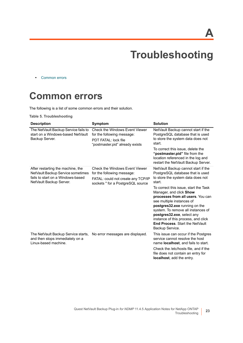**A**

# **Troubleshooting**

<span id="page-22-0"></span>**•** [Common errors](#page-22-1)

## <span id="page-22-1"></span>**Common errors**

The following is a list of some common errors and their solution.

**Table 5. Troubleshooting**

| <b>Description</b>                                                                                                                     | Symptom                                                                                                                                 | <b>Solution</b>                                                                                                                                                                                                                                                                                                                                                                                                                                                       |
|----------------------------------------------------------------------------------------------------------------------------------------|-----------------------------------------------------------------------------------------------------------------------------------------|-----------------------------------------------------------------------------------------------------------------------------------------------------------------------------------------------------------------------------------------------------------------------------------------------------------------------------------------------------------------------------------------------------------------------------------------------------------------------|
| The NetVault Backup Service fails to<br>start on a Windows-based NetVault<br>Backup Server.                                            | Check the Windows Event Viewer<br>for the following message:<br>PDT FATAL: lock file<br>"postmaster.pid" already exists                 | NetVault Backup cannot start if the<br>PostgreSQL database that is used<br>to store the system data does not<br>start.<br>To correct this issue, delete the<br>"postmaster.pid" file from the<br>location referenced in the log and<br>restart the NetVault Backup Server.                                                                                                                                                                                            |
| After restarting the machine, the<br>NetVault Backup Service sometimes<br>fails to start on a Windows-based<br>NetVault Backup Server. | Check the Windows Event Viewer<br>for the following message:<br>FATAL: could not create any TCP/IP<br>sockets " for a PostgreSQL source | NetVault Backup cannot start if the<br>PostgreSQL database that is used<br>to store the system data does not<br>start.<br>To correct this issue, start the Task<br>Manager, and click Show<br>processes from all users. You can<br>see multiple instances of<br>postgres32.exe running on the<br>system. To remove all instances of<br>postgres32.exe, select any<br>instance of this process, and click<br><b>End Process. Start the NetVault</b><br>Backup Service. |
| The NetVault Backup Service starts,<br>and then stops immediately on a<br>Linux-based machine.                                         | No error messages are displayed.                                                                                                        | This issue can occur if the Postgres<br>service cannot resolve the host<br>name <b>localhost</b> , and fails to start.<br>Check the /etc/hosts file, and if the<br>file does not contain an entry for<br>localhost, add the entry.                                                                                                                                                                                                                                    |